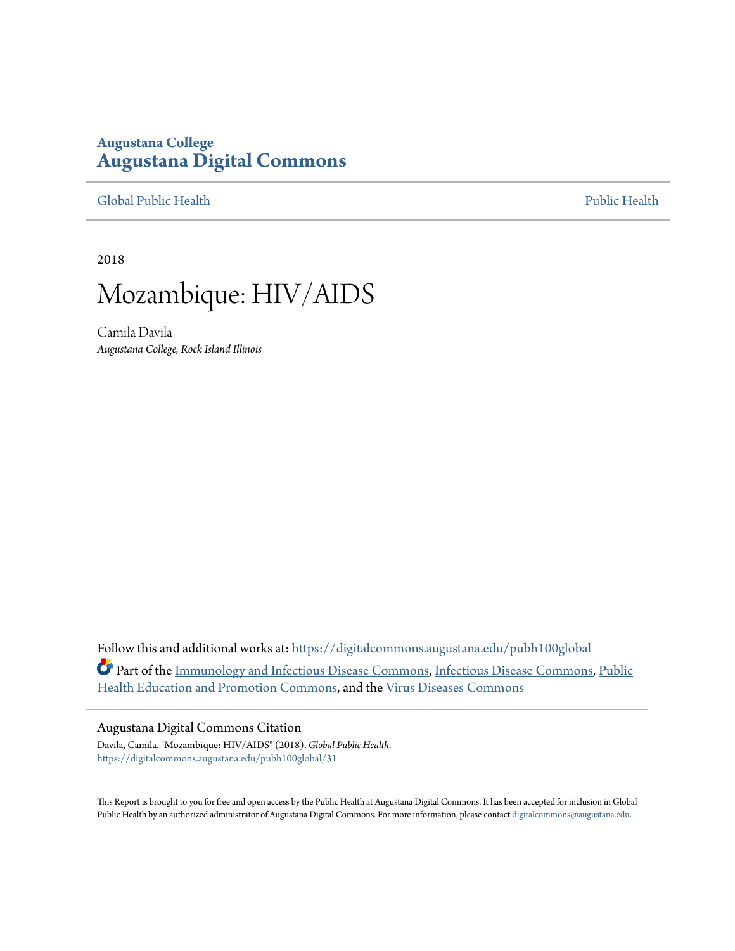## **Augustana College [Augustana Digital Commons](https://digitalcommons.augustana.edu?utm_source=digitalcommons.augustana.edu%2Fpubh100global%2F31&utm_medium=PDF&utm_campaign=PDFCoverPages)**

[Global Public Health](https://digitalcommons.augustana.edu/pubh100global?utm_source=digitalcommons.augustana.edu%2Fpubh100global%2F31&utm_medium=PDF&utm_campaign=PDFCoverPages) [Public Health](https://digitalcommons.augustana.edu/publichealth?utm_source=digitalcommons.augustana.edu%2Fpubh100global%2F31&utm_medium=PDF&utm_campaign=PDFCoverPages)

2018

## Mozambique: HIV/AIDS

Camila Davila *Augustana College, Rock Island Illinois*

Follow this and additional works at: [https://digitalcommons.augustana.edu/pubh100global](https://digitalcommons.augustana.edu/pubh100global?utm_source=digitalcommons.augustana.edu%2Fpubh100global%2F31&utm_medium=PDF&utm_campaign=PDFCoverPages) Part of the [Immunology and Infectious Disease Commons,](http://network.bepress.com/hgg/discipline/33?utm_source=digitalcommons.augustana.edu%2Fpubh100global%2F31&utm_medium=PDF&utm_campaign=PDFCoverPages) [Infectious Disease Commons](http://network.bepress.com/hgg/discipline/689?utm_source=digitalcommons.augustana.edu%2Fpubh100global%2F31&utm_medium=PDF&utm_campaign=PDFCoverPages), [Public](http://network.bepress.com/hgg/discipline/743?utm_source=digitalcommons.augustana.edu%2Fpubh100global%2F31&utm_medium=PDF&utm_campaign=PDFCoverPages) [Health Education and Promotion Commons](http://network.bepress.com/hgg/discipline/743?utm_source=digitalcommons.augustana.edu%2Fpubh100global%2F31&utm_medium=PDF&utm_campaign=PDFCoverPages), and the [Virus Diseases Commons](http://network.bepress.com/hgg/discipline/998?utm_source=digitalcommons.augustana.edu%2Fpubh100global%2F31&utm_medium=PDF&utm_campaign=PDFCoverPages)

### Augustana Digital Commons Citation

Davila, Camila. "Mozambique: HIV/AIDS" (2018). *Global Public Health.* [https://digitalcommons.augustana.edu/pubh100global/31](https://digitalcommons.augustana.edu/pubh100global/31?utm_source=digitalcommons.augustana.edu%2Fpubh100global%2F31&utm_medium=PDF&utm_campaign=PDFCoverPages)

This Report is brought to you for free and open access by the Public Health at Augustana Digital Commons. It has been accepted for inclusion in Global Public Health by an authorized administrator of Augustana Digital Commons. For more information, please contact [digitalcommons@augustana.edu.](mailto:digitalcommons@augustana.edu)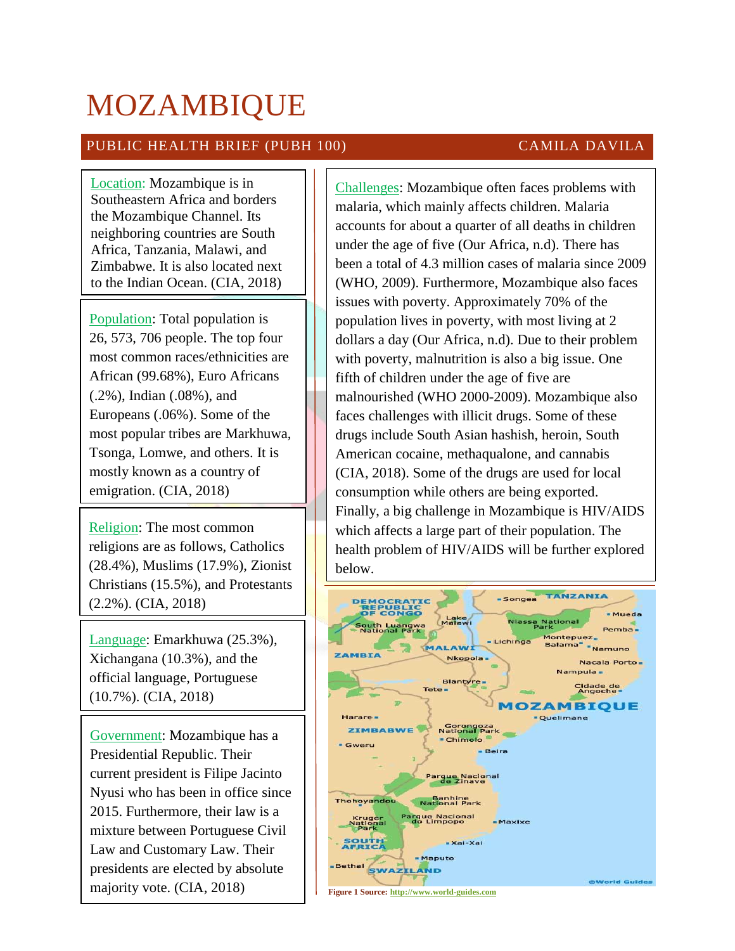# MOZAMBIQUE

## PUBLIC HEALTH BRIEF (PUBH 100) CAMILA DAVILA

Location: Mozambique is in Southeastern Africa and borders the Mozambique Channel. Its neighboring countries are South Africa, Tanzania, Malawi, and Zimbabwe. It is also located next to the Indian Ocean. (CIA, 2018)

Population: Total population is 26, 573, 706 people. The top four most common races/ethnicities are African (99.68%), Euro Africans (.2%), Indian (.08%), and Europeans (.06%). Some of the most popular tribes are Markhuwa, Tsonga, Lomwe, and others. It is mostly known as a country of emigration. (CIA, 2018)

Religion: The most common religions are as follows, Catholics (28.4%), Muslims (17.9%), Zionist Christians (15.5%), and Protestants (2.2%). (CIA, 2018)

Language: Emarkhuwa (25.3%), Xichangana (10.3%), and the official language, Portuguese (10.7%). (CIA, 2018)

Government: Mozambique has a Presidential Republic. Their current president is Filipe Jacinto Nyusi who has been in office since 2015. Furthermore, their law is a mixture between Portuguese Civil Law and Customary Law. Their presidents are elected by absolute majority vote. (CIA, 2018)

Challenges: Mozambique often faces problems with malaria, which mainly affects children. Malaria accounts for about a quarter of all deaths in children under the age of five (Our Africa, n.d). There has been a total of 4.3 million cases of malaria since 2009 (WHO, 2009). Furthermore, Mozambique also faces issues with poverty. Approximately 70% of the population lives in poverty, with most living at 2 dollars a day (Our Africa, n.d). Due to their problem with poverty, malnutrition is also a big issue. One fifth of children under the age of five are malnourished (WHO 2000-2009). Mozambique also faces challenges with illicit drugs. Some of these drugs include South Asian hashish, heroin, South American cocaine, methaqualone, and cannabis (CIA, 2018). Some of the drugs are used for local consumption while others are being exported. Finally, a big challenge in Mozambique is HIV/AIDS which affects a large part of their population. The health problem of HIV/AIDS will be further explored below.